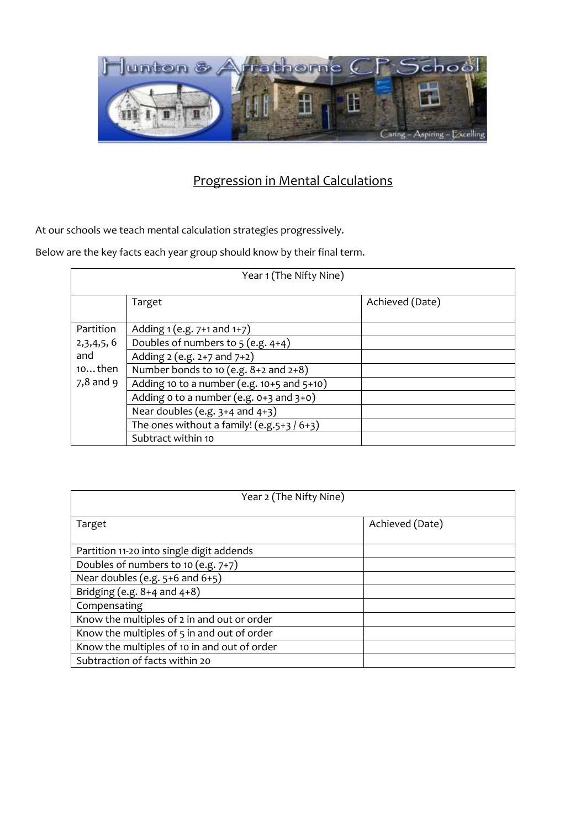

At our schools we teach mental calculation strategies progressively.

| Year 1 (The Nifty Nine) |                                            |                 |  |  |
|-------------------------|--------------------------------------------|-----------------|--|--|
|                         | Target                                     | Achieved (Date) |  |  |
| Partition               | Adding 1 (e.g. 7+1 and 1+7)                |                 |  |  |
| 2,3,4,5,6               | Doubles of numbers to $5$ (e.g. $4+4$ )    |                 |  |  |
| and                     | Adding 2 (e.g. 2+7 and 7+2)                |                 |  |  |
| $10$ then               | Number bonds to 10 (e.g. 8+2 and 2+8)      |                 |  |  |
| $7,8$ and 9             | Adding 10 to a number (e.g. 10+5 and 5+10) |                 |  |  |
|                         | Adding o to a number (e.g. 0+3 and 3+0)    |                 |  |  |
|                         | Near doubles (e.g. $3+4$ and $4+3$ )       |                 |  |  |
|                         | The ones without a family! $(e.g.5+3/6+3)$ |                 |  |  |
|                         | Subtract within 10                         |                 |  |  |

| Year 2 (The Nifty Nine)                      |                 |  |  |  |
|----------------------------------------------|-----------------|--|--|--|
| Target                                       | Achieved (Date) |  |  |  |
| Partition 11-20 into single digit addends    |                 |  |  |  |
| Doubles of numbers to 10 (e.g. 7+7)          |                 |  |  |  |
| Near doubles (e.g. $5+6$ and $6+5$ )         |                 |  |  |  |
| Bridging (e.g. $8+4$ and $4+8$ )             |                 |  |  |  |
| Compensating                                 |                 |  |  |  |
| Know the multiples of 2 in and out or order  |                 |  |  |  |
| Know the multiples of 5 in and out of order  |                 |  |  |  |
| Know the multiples of 10 in and out of order |                 |  |  |  |
| Subtraction of facts within 20               |                 |  |  |  |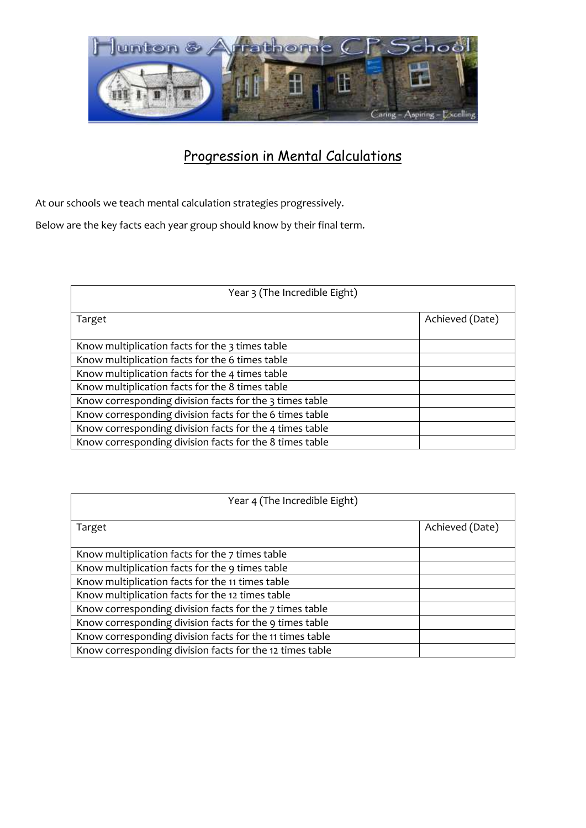

At our schools we teach mental calculation strategies progressively.

| Year 3 (The Incredible Eight)                           |                 |  |  |
|---------------------------------------------------------|-----------------|--|--|
| Target                                                  | Achieved (Date) |  |  |
| Know multiplication facts for the 3 times table         |                 |  |  |
| Know multiplication facts for the 6 times table         |                 |  |  |
| Know multiplication facts for the 4 times table         |                 |  |  |
| Know multiplication facts for the 8 times table         |                 |  |  |
| Know corresponding division facts for the 3 times table |                 |  |  |
| Know corresponding division facts for the 6 times table |                 |  |  |
| Know corresponding division facts for the 4 times table |                 |  |  |
| Know corresponding division facts for the 8 times table |                 |  |  |

| Year 4 (The Incredible Eight)                            |                 |  |  |
|----------------------------------------------------------|-----------------|--|--|
| Target                                                   | Achieved (Date) |  |  |
| Know multiplication facts for the 7 times table          |                 |  |  |
| Know multiplication facts for the 9 times table          |                 |  |  |
| Know multiplication facts for the 11 times table         |                 |  |  |
| Know multiplication facts for the 12 times table         |                 |  |  |
| Know corresponding division facts for the 7 times table  |                 |  |  |
| Know corresponding division facts for the 9 times table  |                 |  |  |
| Know corresponding division facts for the 11 times table |                 |  |  |
| Know corresponding division facts for the 12 times table |                 |  |  |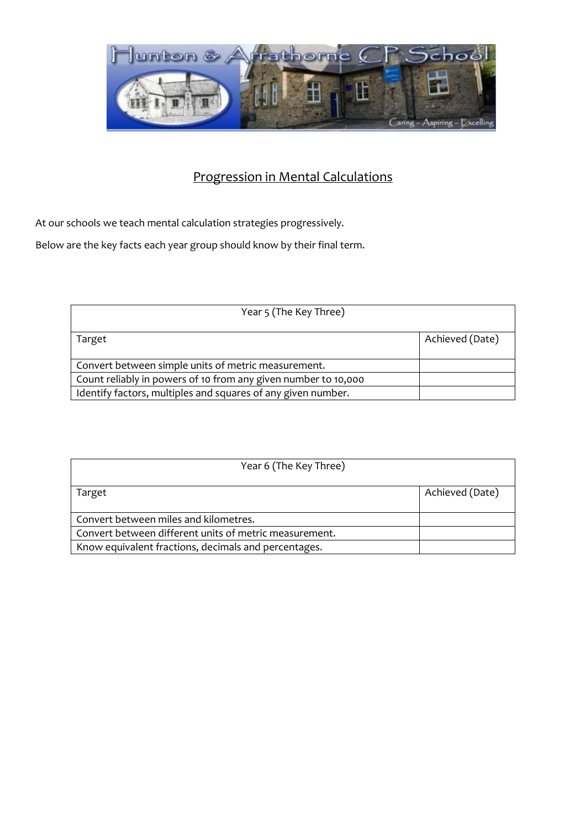

At our schools we teach mental calculation strategies progressively.

| Year 5 (The Key Three)                                         |                 |
|----------------------------------------------------------------|-----------------|
| Target                                                         | Achieved (Date) |
| Convert between simple units of metric measurement.            |                 |
| Count reliably in powers of 10 from any given number to 10,000 |                 |
| Identify factors, multiples and squares of any given number.   |                 |

| Year 6 (The Key Three)                                 |                 |
|--------------------------------------------------------|-----------------|
| Target                                                 | Achieved (Date) |
| Convert between miles and kilometres.                  |                 |
| Convert between different units of metric measurement. |                 |
| Know equivalent fractions, decimals and percentages.   |                 |